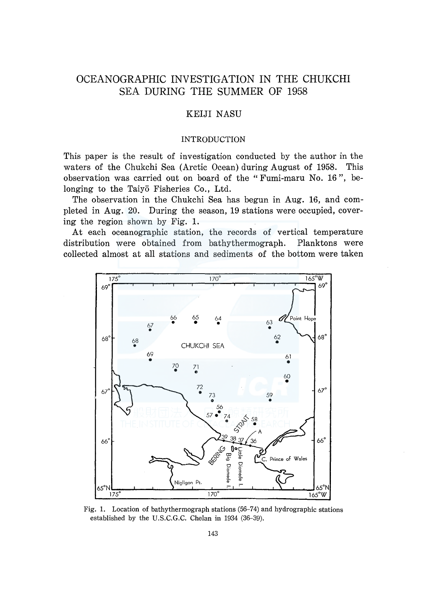# OCEANOGRAPHIC INVESTIGATION IN THE CHUKCHI SEA DURING THE SUMMER OF 1958

# KEIJI NASU

## INTRODUCTION

This paper is the result of investigation conducted by the author in the waters of the Chukchi Sea (Arctic Ocean) during August of 1958. This observation was carried out on board of the "Fumi-maru No. 16 ", belonging to the Taiy<sub>0</sub> Fisheries Co., Ltd.

The observation in the Chukchi Sea has begun in Aug. 16, and completed in Aug. 20. During the season, 19 stations were occupied, covering the region shown by Fig. 1.

At each oceanographic station, the records of vertical temperature distribution were obtained from bathythermograph. Planktons were collected almost at all stations and sediments of the bottom were taken



Fig. 1. Location of bathythermograph stations (56-74) and hydrographic stations established by the U.S.C.G.C. Chelan in 1934 (36-39).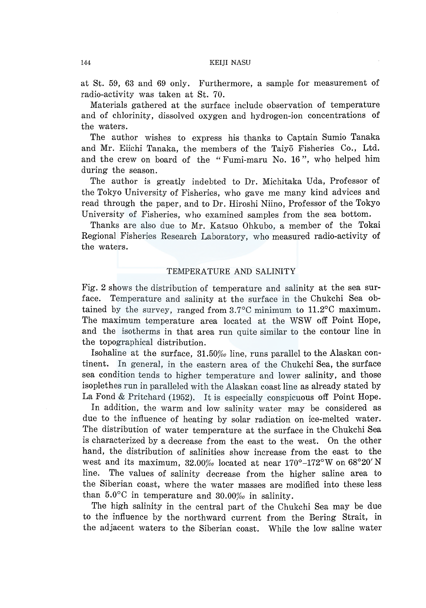at St. 59, 63 and 69 only. Furthermore, a sample for measurement of radio-activity was taken at St. 70.

Materials gathered at the surface include observation of temperature and of chlorinity, dissolved oxygen and hydrogen-ion concentrations of the waters.

The author wishes to express his thanks to Captain Sumio Tanaka and Mr. Eiichi Tanaka, the members of the Taiyo Fisheries Co., Ltd. and the crew on board of the "Fumi-maru No. 16 ", who helped him during the season.

The author is greatly indebted to Dr. Michitaka Uda, Professor of the Tokyo University of Fisheries, who gave me many kind advices and read through the paper, and to Dr. Hiroshi Niino, Professor of the Tokyo University of Fisheries, who examined samples from the sea bottom.

Thanks are also due to Mr. Katsuo Ohkubo, a member of the Tokai Regional Fisheries Research Laboratory, who measured radio-activity of the waters.

# TEMPERATURE AND SALINITY

Fig. 2 shows the distribution of temperature and salinity at the sea surface. Temperature and salinity at the surface in the Chukchi Sea obtained by the survey, ranged from 3.7°C minimum to 11.2°C maximum. The maximum temperature area located at the WSW off Point Hope, and the isotherms in that area run quite similar to the contour line in the topographical distribution.

Isohaline at the surface,  $31.50\%$  line, runs parallel to the Alaskan continent. In general, in the eastern area of the Chukchi Sea, the surface sea condition tends to higher temperature and lower salinity, and those isoplethes run in paralleled with the Alaskan coast line as already stated by La Fond & Pritchard (1952). It is especially conspicuous off Point Hope.

In addition, the warm and low salinity water may be considered as due to the influence of heating by solar radiation on ice-melted water. The distribution of water temperature at the surface in the Chukchi Sea is characterized by a decrease from the east to the west. On the other hand, the distribution of salinities show increase from the east to the west and its maximum,  $32.00\%$  located at near  $170^{\circ}$ – $172^{\circ}$ W on  $68^{\circ}20'$ N line. The values of salinity decrease from the higher saline area to the Siberian coast, where the water masses are modified into these less than  $5.0^{\circ}$ C in temperature and  $30.00%$  in salinity.

The high salinity in the central part of the Chukchi Sea may be due to the influence by the northward current from the Bering Strait, in the adjacent waters to the Siberian coast. While the low saline water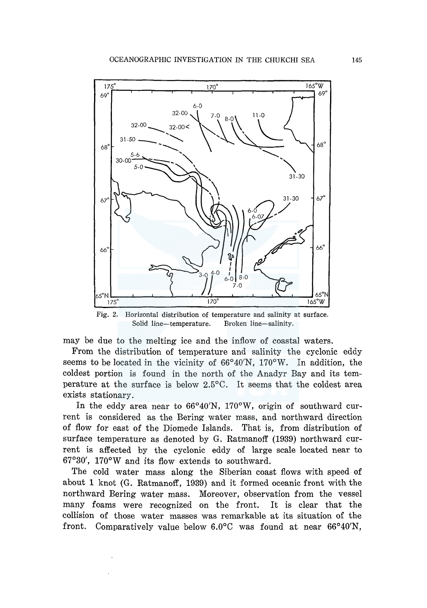

Fig. 2. Horizontal distribution of temperature and salinity at surface. Solid line-temperature. Broken line-salinity.

may be due to the melting ice and the inflow of coastal waters.

From the distribution of temperature and salinity the cyclonic eddy seems to be located in the vicinity of  $66^{\circ}40'N$ ,  $170^{\circ}W$ . In addition, the coldest portion is found in the north of the Anadyr Bay and its temperature at the surface is below 2.5°C. It seems that the coldest area exists stationary.

In the eddy area near to 66°40'N, 170°W, origin of southward current is considered as the Bering water mass, and northward direction of flow for east of the Diomede Islands. That is, from distribution of surface temperature as denoted by G. Ratmanoff (1939) northward current is affected by the cyclonic eddy of large scale located near to 67°30', 170°W and its flow extends to southward.

The cold water mass along the Siberian coast flows with speed of about 1 knot (G. Ratmanoff, 1939) and it formed oceanic front with the northward Bering water mass. Moreover, observation from the vessel many foams were recognized on the front. It is clear that the collision of those water masses was remarkable at its situation of the front. Comparatively value below 6.0°C was found at near 66°40'N,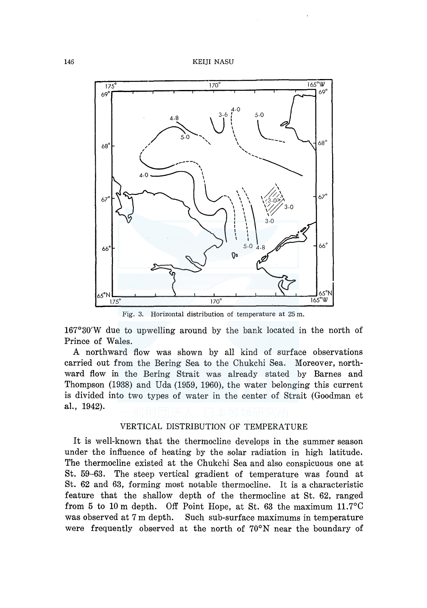

Fig. 3. Horizontal distribution of temperature at 25 m.

167°30'W due to upwelling around by the bank located in the north of Prince of Wales.

A northward flow was shown by all kind of surface observations carried out from the Bering Sea to the Chukchi Sea. Moreover, northward flow in the Bering Strait was already stated by Barnes and Thompson (1938) and Uda (1959, 1960), the water belonging this current is divided into two types of water in the center of Strait (Goodman et al., 1942).

# VERTICAL DISTRIBUTION OF TEMPERATURE

It is well-known that the thermocline develops in the summer season under the influence of heating by the solar radiation in high latitude. The thermocline existed at the Chukchi Sea and also conspicuous one at St. 59-63. The steep vertical gradient of temperature was found at St. 62 and 63, forming most notable thermocline. It is a characteristic feature that the shallow depth of the thermocline at St. 62, ranged from 5 to 10 m depth. Off Point Hope, at St. 63 the maximum 11. 7°C was observed at 7 m depth. Such sub-surface maximums in temperature were frequently observed at the north of 70°N near the boundary of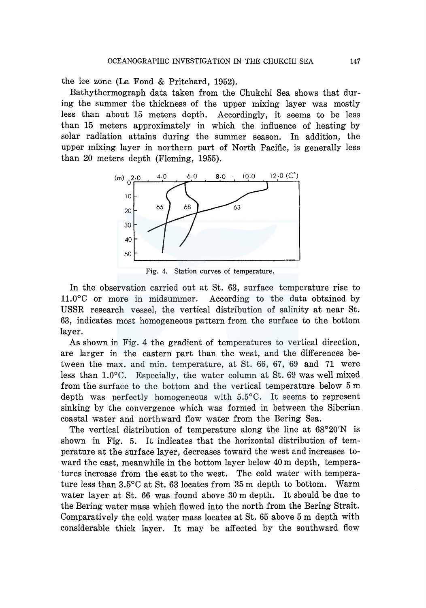the ice zone (La Fond & Pritchard, 1952).

Bathythermograph data taken from the Chukchi Sea shows that during the summer the thickness of the upper mixing layer was mostly less than about 15 meters depth. Accordingly, it seems to be less than 15 meters approximately in which the influence of heating by solar radiation attains during the summer season. In addition, the upper mixing layer in northern part of North Pacific, is generally less than 20 meters depth (Fleming, 1955).



Fig. 4. Station curves of temperature.

In the observation carried out at St. 63, surface temperature rise to ll.0°C or more in midsummer. According to the data obtained by USSR research vessel, the vertical distribution of salinity at near St. 63, indicates most homogeneous pattern from the surface to the bottom layer.

As shown in Fig. 4 the gradient of temperatures to vertical direction, are larger in the eastern part than the west, and the differences between the max. and min. temperature, at St. 66, 67, 69 and 71 were less than 1.0°C. Especially, the water column at St. 69 was well mixed from the surface to the bottom and the vertical temperature below 5 m depth was perfectly homogeneous with 5.5°C. It seems to represent sinking by the convergence which was formed in between the Siberian coastal water and northward flow water from the Bering Sea.

The vertical distribution of temperature along the line at  $68^{\circ}20'N$  is shown in Fig. 5. It indicates that the horizontal distribution of temperature at the surface layer, decreases toward the west and increases toward the east, meanwhile in the bottom layer below 40 m depth, temperatures increase from the east to the west. The cold water with temperature less than 3.5°C at St. 63 locates from 35 m depth to bottom. Warm water layer at St. 66 was found above 30 m depth. It should be due to the Bering water mass which flowed into the north from the Bering Strait. Comparatively the cold water mass locates at St. 65 above 5 m depth with considerable thick layer. It may be affected by the southward flow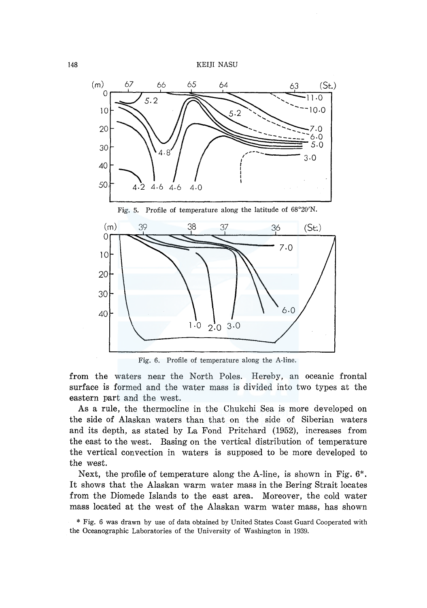

Fig. 6. Profile of temperature along the A-line.

from the waters near the North Poles. Hereby, an oceanic frontal surface is formed and the water mass is divided into two types at the eastern part and the west.

As a rule, the thermocline in the Chukchi Sea is more developed on the side of Alaskan waters than that on the side of Siberian waters and its depth, as stated by La Fond Pritchard (1952), increases from the east to the west. Basing on the vertical distribution of temperature the vertical convection in waters is supposed to be more developed to the west.

Next, the profile of temperature along the A-line, is shown in Fig. 6\*. It shows that the Alaskan warm water mass in the Bering Strait locates from the Diomede Islands to the east area. Moreover, the cold water mass located at the west of the Alaskan warm water mass, has shown

<sup>\*</sup> Fig. 6 was drawn by use of data obtained by United States Coast Guard Cooperated with the Oceanographic Laboratories of the University of Washington in 1939.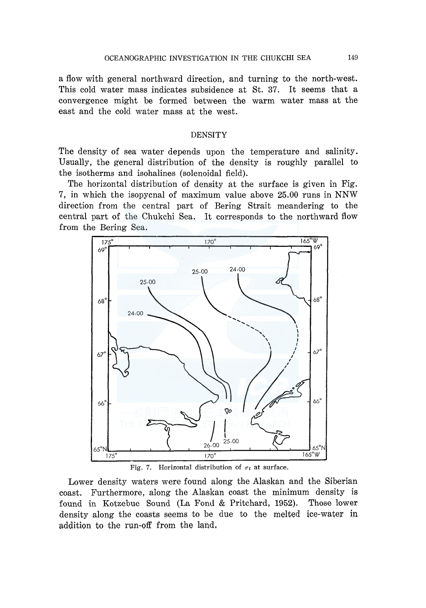a flow with general northward direction, and turning to the north-west. This cold water mass indicates subsidence at St. 37. It seems that a convergence might be formed between the warm water mass at the east and the cold water mass at the west.

# DENSITY

The density of sea water depends upon the temperature and salinity. Usually, the general distribution of the density is roughly parallel to the isotherms and isohalines (solenoidal field).

The horizontal distribution of density at the surface is given in Fig. 7, in which the isopycnal of maximum value above 25.00 runs in NNW direction from the central part of Bering Strait meandering to the central part of the Chukchi Sea. It corresponds to the northward flow from the Bering Sea.





Lower density waters were found along the Alaskan and the Siberian coast. Furthermore, along the Alaskan coast the minimum density is found in Kotzebue Sound (La Fond & Pritchard, 1952). Those lower density along the coasts seems to be due to the melted ice-water in addition to the run-off from the land.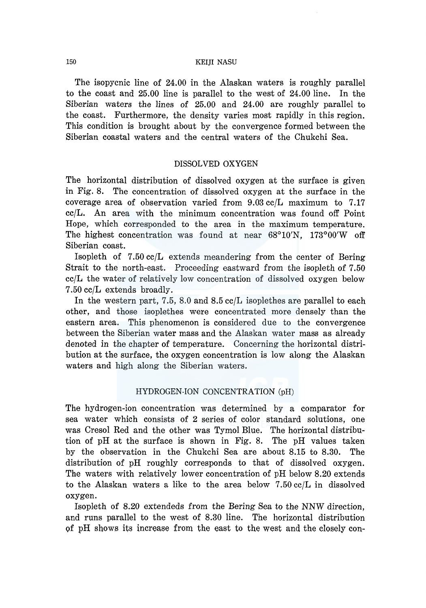### 150 KEIJI NASU

The isopycnic line of 24.00 in the Alaskan waters is roughly parallel to the coast and 25.00 line is parallel to the west of 24.00 line. In the Siberian waters the lines of 25.00 and 24.00 are roughly parallel to the coast. Furthermore, the density varies most rapidly in this region. This condition is brought about by the convergence formed between the Siberian coastal waters and the central waters of the Chukchi Sea.

# DISSOLVED OXYGEN

The horizontal distribution of dissolved oxygen at the surface is given in Fig. 8. The concentration of dissolved oxygen at the surface in the coverage area of observation varied from 9.03 cc/L maximum to 7.17 cc/L. An area with the minimum concentration was found off Point Hope, which corresponded to the area in the maximum temperature. The highest concentration was found at near 68°10'N, 173°00'W off Siberian coast.

Isopleth of 7.50 cc/L extends meandering from the center of Bering Strait to the north-east. Proceeding eastward from the isopleth of 7.50 cc/L the water of relatively low concentration of dissolved oxygen below 7.50 cc/L extends broadly.

In the western part, 7.5, 8.0 and 8.5 cc/L isoplethes are parallel to each other, and those isoplethes were concentrated more densely than the eastern area. This phenomenon is considered due to the convergence between the Siberian water mass and the Alaskan water mass as already denoted in the chapter of temperature. Concerning the horizontal distribution at the surface, the oxygen concentration is low along the Alaskan waters and high along the Siberian waters.

# HYDROGEN-ION CONCENTRATION (pH)

The hydrogen-ion concentration was determined by a comparator for sea water which consists of 2 series of color standard solutions, one was Cresol Red and the other was Tymol Blue. The horizontal distribution of pH at the surface is shown in Fig. 8. The pH values taken by the observation in the Chukchi Sea are about 8.15 to 8.30. The distribution of pH roughly corresponds to that of dissolved oxygen. The waters with relatively lower concentration of pH below 8.20 extends to the Alaskan waters a like to the area below  $7.50 \text{ cc/L}$  in dissolved oxygen.

Isopleth of 8.20 extendeds from the Bering Sea to the NNW direction, and runs parallel to the west of 8.30 line. The horizontal distribution of pH shows its increase from the east to the west and the closely con-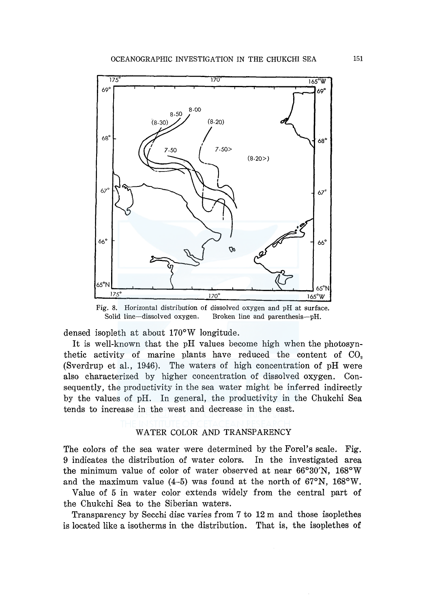

Fig. 8. Horizontal distribution of dissolved oxygen and pH at surface. Solid line-dissolved oxygen. Broken line and parenthesis-pH.

densed isopleth at about 170°W longitude.

It is well-known that the pH values become high when the photosynthetic activity of marine plants have reduced the content of  $CO$ , (Sverdrup et al., 1946). The waters of high concentration of pH were also characterized by higher concentration of dissolved oxygen. Consequently, the productivity in the sea water might be inferred indirectly by the values of pH. In general, the productivity in the Chukchi Sea tends to increase in the west and decrease in the east.

# WATER COLOR AND TRANSPARENCY

The colors of the sea water were determined by the Forel's scale. Fig. 9 indicates the distribution of water colors. In the investigated area the minimum value of color of water observed at near 66°30'N, 168°W and the maximum value  $(4-5)$  was found at the north of 67 $\textdegree$ N, 168 $\textdegree$ W.

Value of 5 in water color extends widely from the central part of the Chukchi Sea to the Siberian waters.

Transparency by Secchi disc varies from 7 to 12 m and those isoplethes is located like a isotherms in the distribution. That is, the isoplethes of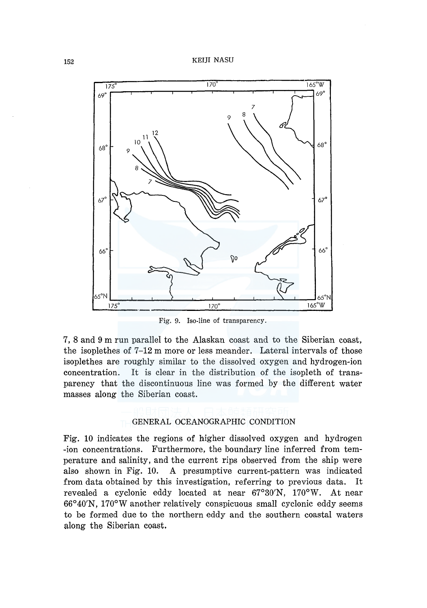

Fig. 9. Iso-line of transparency.

7, 8 and 9 m run parallel to the Alaskan coast and to the Siberian coast, the isoplethes of 7-12 m more or less meander. Lateral intervals of those isoplethes are roughly similar to the dissolved oxygen and hydrogen-ion concentration. It is clear in the distribution of the isopleth of transparency that the discontinuous line was formed by the different water masses along the Siberian coast.

### GENERAL OCEANOGRAPHIC CONDITION

Fig. 10 indicates the regions of higher dissolved oxygen and hydrogen -ion concentrations. Furthermore, the boundary line inferred from temperature and salinity, and the current rips observed from the ship were also shown in Fig. 10. A presumptive current-pattern was indicated from data obtained by this investigation, referring to previous data. It revealed a cyclonic eddy located at near  $67^{\circ}30'N$ ,  $170^{\circ}W$ . At near 66°40'N, l 70°W another relatively conspicuous small cyclonic eddy seems to be formed due to the northern eddy and the southern coastal waters along the Siberian coast.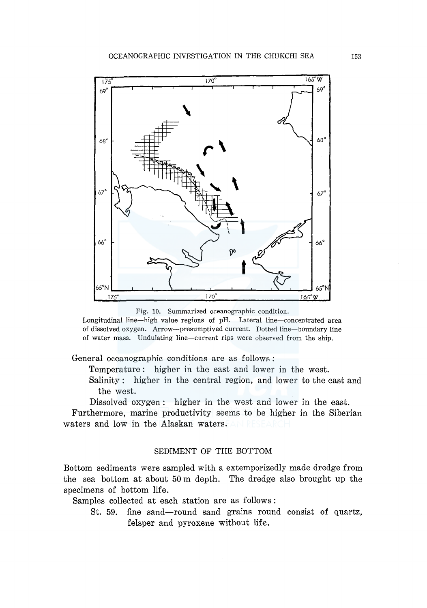

Fig. 10. Summarized oceanographic condition.

Longitudinal line-high value regions of pH. Lateral line-concentrated area of dissolved oxygen. Arrow-presumptived current. Dotted line-boundary line of water mass. Undulating line-current rips were observed from the ship.

General oceanographic conditions are as follows :

Temperature : higher in the east and lower in the west.

Salinity : higher in the central region, and lower to the east and the west.

Dissolved oxygen: higher in the west and lower in the east.

Furthermore, marine productivity seems to be higher in the Siberian waters and low in the Alaskan waters. AN RESEAR

# SEDIMENT OF THE BOTTOM

Bottom sediments were sampled with a extemporizedly made dredge from the sea bottom at about 50 m depth. The dredge also brought up the specimens of bottom life.

Samples collected at each station are as follows:

St. 59. fine sand-round sand grains round consist of quartz, felsper and pyroxene without life.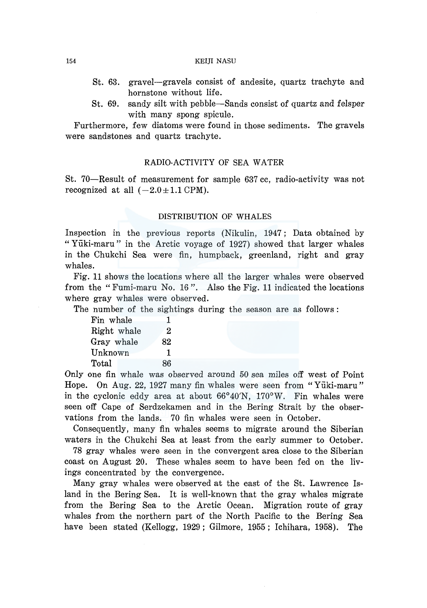### 154 KEIJI NASU

- St. 63. gravel-gravels consist of andesite, quartz trachyte and hornstone without life.
- St. 69. sandy silt with pebble-Sands consist of quartz and felsper with many spong spicule.

Furthermore, few diatoms were found in those sediments. The gravels were sandstones and quartz trachyte.

## RADIO-ACTIVITY OF SEA WATER

St. 70-Result of measurement for sample 637 cc, radio-activity was not recognized at all  $(-2.0 \pm 1.1 \text{ CPM})$ .

### DISTRIBUTION OF WHALES

Inspection in the previous reports (Nikulin, 1947; Data obtained by "Yuki-maru" in the Arctic voyage of 1927) showed that larger whales in the Chukchi Sea were fin, humpback, greenland, right and gray whales.

Fig. 11 shows the locations where all the larger whales were observed from the "Fumi-maru No. 16 ". Also the Fig. 11 indicated the locations where gray whales were observed.

The number of the sightings during the season are as follows :

| Fin whale   |  | 1  |
|-------------|--|----|
| Right whale |  | 2  |
| Gray whale  |  | 82 |
| Unknown     |  | 1  |
| Total       |  | 86 |

Only one fin whale was observed around 50 sea miles off west of Point Hope. On Aug. 22, 1927 many fin whales were seen from "Yuki-maru" in the cyclonic eddy area at about 66°40'N, 170°W. Fin whales were seen off Cape of Serdzekamen and in the Bering Strait by the observations from the lands. 70 fin whales were seen in October.

Consequently, many fin whales seems to migrate around the Siberian waters in the Chukchi Sea at least from the early summer to October.

78 gray whales were seen in the convergent area close to the Siberian coast on August 20. These whales seem to have been fed on the livings concentrated by the convergence.

Many gray whales were observed at the east of the St. Lawrence Island in the Bering Sea. It is well-known that the gray whales migrate from the Bering Sea to the Arctic Ocean. Migration route of gray whales from the northern part of the North Pacific to the Bering Sea have been stated (Kellogg, 1929; Gilmore, 1955; Ichihara, 1958). The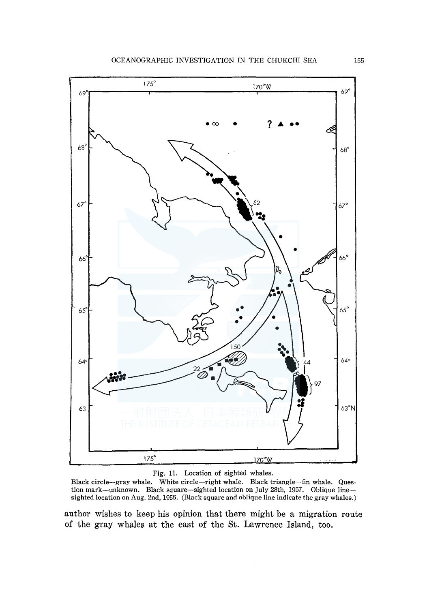

Fig. 11. Location of sighted whales.

Black circle-gray whale. White circle-right whale. Black triangle-fin whale. Question mark-unknown. Black square-sighted location on July 28th, 1957. Oblique linesighted location on Aug. 2nd, 1955. (Black square and oblique line indicate the gray whales.)

author wishes to keep his opinion that there might be a migration route of the gray whales at the east of the St. Lawrence Island, too.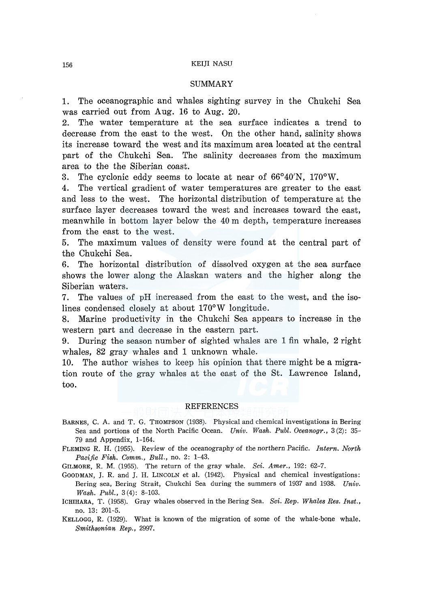### 156 KEIJI NASU

### **SUMMARY**

1. The oceanographic and whales sighting survey in the Chukchi Sea was carried out from Aug. 16 to Aug. 20.

2. The water temperature at the sea surface indicates a trend to decrease from the east to the west. On the other hand, salinity shows its increase toward the west and its maximum area located at the central part of the Chukchi Sea. The salinity decreases from the maximum area to the the Siberian coast.

3. The cyclonic eddy seems to locate at near of  $66^{\circ}40'$ N,  $170^{\circ}$ W.

4. The vertical gradient of water temperatures are greater to the east and less to the west. The horizontal distribution of temperature at the surface layer decreases toward the west and increases toward the east, meanwhile in bottom layer below the 40 m depth, temperature increases from the east to the west.

5. The maximum values of density were found at the central part of the Chukchi Sea.

6. The horizontal distribution of dissolved oxygen at the sea surface shows the lower along the Alaskan waters and the higher along the Siberian waters.

7. The values of pH increased from the east to the west, and the isolines condensed closely at about 170°W longitude.

8. Marine productivity in the Chukchi Sea appears to increase in the western part and decrease in the eastern part.

9. During the season number of sighted whales are 1 fin whale, 2 right whales, 82 gray whales and 1 unknown whale.

10. The author wishes to keep his opinion that there might be a migration route of the gray whales at the east of the St. Lawrence Island, too.

#### REFERENCES

- BARNES, C. A. and T. G. THOMPSON (1938). Physical and chemical investigations in Bering Sea and portions of the North Pacific Ocean. *Univ. Wash. Publ. Oceanogr.,* 3 (2): 35- 79 and Appendix, 1-164.
- FLEMING R. H. (1955). Review of the oceanography of the northern Pacific. *Intern. North Pacific Fish. Comm., Bull.,* no. 2: 1-43.

GILMORE, R. M. (1955). The return of the gray whale. *Sci. Amer.,* 192: 62-7.

- GOODMAN, J. R. and J. H. LINCOLN et al. (1942). Physical and chemical investigations: Bering sea, Bering Strait, Chukchi Sea during the summers of 1937 and 1938. *Univ. Wash. Publ.,* 3 (4): 8-103.
- ICHIHARA, T. (1958). Gray whales observed in the Bering Sea. *Sci. Rep. Whales Res. Inst.,*  no. 13: 201-5.

KELLOGG, R. (1929). What is known of the migration of some of the whale-bone whale.  $Smith$ <sub>Rep.</sub>, 2997.